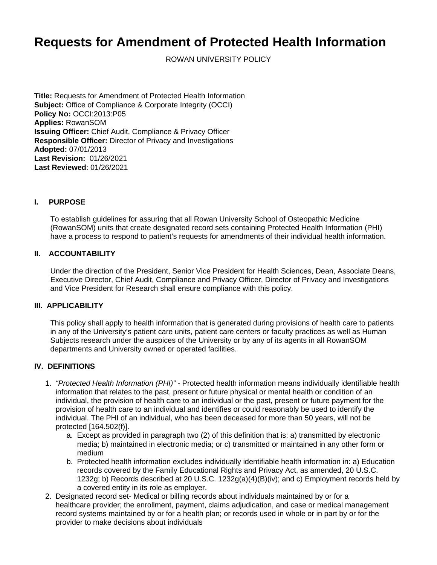# **Requests for Amendment of Protected Health Information**

ROWAN UNIVERSITY POLICY

**Title:** Requests for Amendment of Protected Health Information **Subject:** Office of Compliance & Corporate Integrity (OCCI) **Policy No:** OCCI:2013:P05 **Applies:** RowanSOM **Issuing Officer:** Chief Audit, Compliance & Privacy Officer **Responsible Officer:** Director of Privacy and Investigations **Adopted:** 07/01/2013 **Last Revision:** 01/26/2021 **Last Reviewed**: 01/26/2021

## **I. PURPOSE**

To establish guidelines for assuring that all Rowan University School of Osteopathic Medicine (RowanSOM) units that create designated record sets containing Protected Health Information (PHI) have a process to respond to patient's requests for amendments of their individual health information.

## **II. ACCOUNTABILITY**

Under the direction of the President, Senior Vice President for Health Sciences, Dean, Associate Deans, Executive Director, Chief Audit, Compliance and Privacy Officer, Director of Privacy and Investigations and Vice President for Research shall ensure compliance with this policy.

## **III. APPLICABILITY**

This policy shall apply to health information that is generated during provisions of health care to patients in any of the University's patient care units, patient care centers or faculty practices as well as Human Subjects research under the auspices of the University or by any of its agents in all RowanSOM departments and University owned or operated facilities.

## **IV. DEFINITIONS**

- 1. "Protected Health Information (PHI)" Protected health information means individually identifiable health information that relates to the past, present or future physical or mental health or condition of an individual, the provision of health care to an individual or the past, present or future payment for the provision of health care to an individual and identifies or could reasonably be used to identify the individual. The PHI of an individual, who has been deceased for more than 50 years, will not be protected [164.502(f)].
	- a. Except as provided in paragraph two (2) of this definition that is: a) transmitted by electronic media; b) maintained in electronic media; or c) transmitted or maintained in any other form or medium
	- b. Protected health information excludes individually identifiable health information in: a) Education records covered by the Family Educational Rights and Privacy Act, as amended, 20 U.S.C. 1232g; b) Records described at 20 U.S.C. 1232g(a)(4)(B)(iv); and c) Employment records held by a covered entity in its role as employer.
- 2. Designated record set- Medical or billing records about individuals maintained by or for a healthcare provider; the enrollment, payment, claims adjudication, and case or medical management record systems maintained by or for a health plan; or records used in whole or in part by or for the provider to make decisions about individuals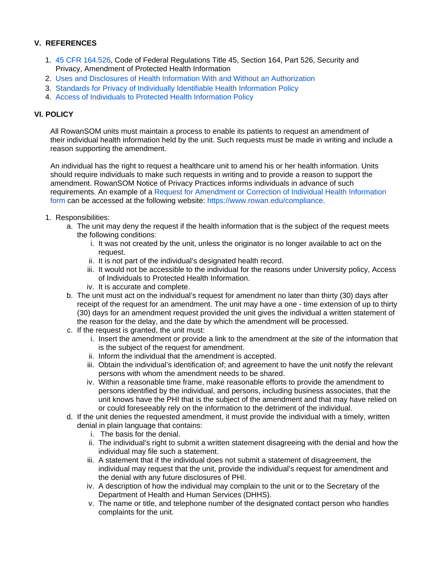# **V. REFERENCES**

- 1. [45 CFR 164.526](http://www.google.com/url?sa=t&rct=j&q=&esrc=s&frm=1&source=web&cd=1&sqi=2&ved=0CBwQFjAAahUKEwjwrqzd8Y3JAhXFkx4KHXarBO4&url=http%3A%2F%2Fwww.law.cornell.edu%2Fcfr%2Ftext%2F45%2F164.526&usg=AFQjCNFclwzj722v3BKzZGJO4wI8bnrURQ&sig2=X0nBTf37nRoAQ56OPijyMQ&bvm=bv.107467506,d.dmo), Code of Federal Regulations Title 45, Section 164, Part 526, Security and Privacy, Amendment of Protected Health Information
- 2. [Uses and Disclosures of Health Information With and Without an Authorization](http://confluence.rowan.edu/display/POLICY/Uses+and+Disclosures+of+Protected+Health+Information%3A+With+and+Without+Authorization)
- 3. [Standards for Privacy of Individually Identifiable Health Information Policy](http://confluence.rowan.edu/display/POLICY/Standards+for+Privacy+of+Individually+Identifiable+Health+Information)
- 4. [Access of Individuals to Protected Health Information Policy](http://confluence.rowan.edu/pages/viewpage.action?pageId=52298886)

## **VI. POLICY**

All RowanSOM units must maintain a process to enable its patients to request an amendment of their individual health information held by the unit. Such requests must be made in writing and include a reason supporting the amendment.

An individual has the right to request a healthcare unit to amend his or her health information. Units should require individuals to make such requests in writing and to provide a reason to support the amendment. RowanSOM Notice of Privacy Practices informs individuals in advance of such requirements. An example of a [Request for Amendment or Correction of Individual Health Information](https://sites.rowan.edu/somcompliance/_docs/ROWANRequestforAmendmentForm.pdf)  [form](https://sites.rowan.edu/somcompliance/_docs/ROWANRequestforAmendmentForm.pdf) can be accessed at the following website: [https://www.rowan.edu/compliance.](https://www.rowan.edu/compliance)

- 1. Responsibilities:
	- a. The unit may deny the request if the health information that is the subject of the request meets the following conditions:
		- i. It was not created by the unit, unless the originator is no longer available to act on the request.
		- ii. It is not part of the individual's designated health record.
		- iii. It would not be accessible to the individual for the reasons under University policy, Access of Individuals to Protected Health Information.
		- iv. It is accurate and complete.
	- b. The unit must act on the individual's request for amendment no later than thirty (30) days after receipt of the request for an amendment. The unit may have a one - time extension of up to thirty (30) days for an amendment request provided the unit gives the individual a written statement of the reason for the delay, and the date by which the amendment will be processed.
	- c. If the request is granted, the unit must:
		- i. Insert the amendment or provide a link to the amendment at the site of the information that is the subject of the request for amendment.
		- ii. Inform the individual that the amendment is accepted.
		- iii. Obtain the individual's identification of; and agreement to have the unit notify the relevant persons with whom the amendment needs to be shared.
		- iv. Within a reasonable time frame, make reasonable efforts to provide the amendment to persons identified by the individual, and persons, including business associates, that the unit knows have the PHI that is the subject of the amendment and that may have relied on or could foreseeably rely on the information to the detriment of the individual.
	- d. If the unit denies the requested amendment, it must provide the individual with a timely, written denial in plain language that contains:
		- i. The basis for the denial.
		- ii. The individual's right to submit a written statement disagreeing with the denial and how the individual may file such a statement.
		- iii. A statement that if the individual does not submit a statement of disagreement, the individual may request that the unit, provide the individual's request for amendment and the denial with any future disclosures of PHI.
		- iv. A description of how the individual may complain to the unit or to the Secretary of the Department of Health and Human Services (DHHS).
		- v. The name or title, and telephone number of the designated contact person who handles complaints for the unit.